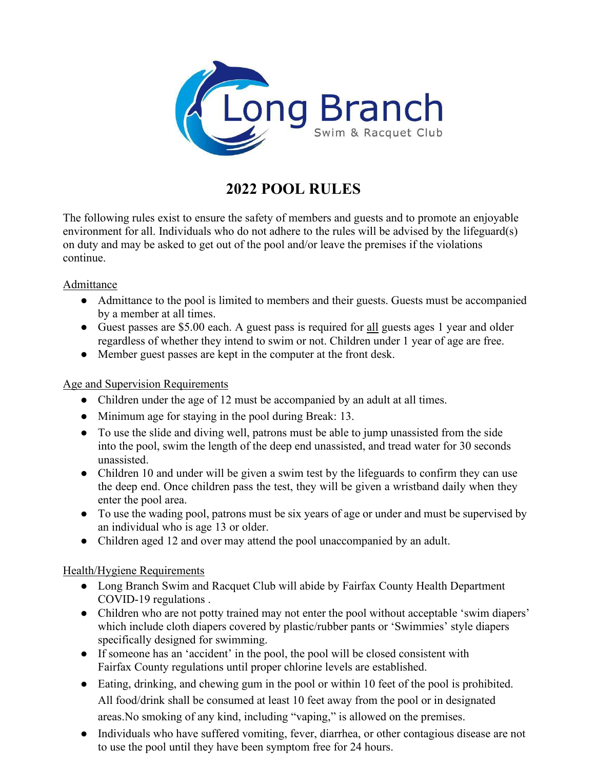

## **2022 POOL RULES**

The following rules exist to ensure the safety of members and guests and to promote an enjoyable environment for all. Individuals who do not adhere to the rules will be advised by the lifeguard(s) on duty and may be asked to get out of the pool and/or leave the premises if the violations continue.

## Admittance

- Admittance to the pool is limited to members and their guests. Guests must be accompanied by a member at all times.
- Guest passes are \$5.00 each. A guest pass is required for all guests ages 1 year and older regardless of whether they intend to swim or not. Children under 1 year of age are free.
- Member guest passes are kept in the computer at the front desk.

## Age and Supervision Requirements

- Children under the age of 12 must be accompanied by an adult at all times.
- Minimum age for staying in the pool during Break: 13.
- To use the slide and diving well, patrons must be able to jump unassisted from the side into the pool, swim the length of the deep end unassisted, and tread water for 30 seconds unassisted.
- Children 10 and under will be given a swim test by the lifeguards to confirm they can use the deep end. Once children pass the test, they will be given a wristband daily when they enter the pool area.
- To use the wading pool, patrons must be six years of age or under and must be supervised by an individual who is age 13 or older.
- Children aged 12 and over may attend the pool unaccompanied by an adult.

## Health/Hygiene Requirements

- Long Branch Swim and Racquet Club will abide by Fairfax County Health Department COVID-19 regulations .
- Children who are not potty trained may not enter the pool without acceptable 'swim diapers' which include cloth diapers covered by plastic/rubber pants or 'Swimmies' style diapers specifically designed for swimming.
- If someone has an 'accident' in the pool, the pool will be closed consistent with Fairfax County regulations until proper chlorine levels are established.
- Eating, drinking, and chewing gum in the pool or within 10 feet of the pool is prohibited. All food/drink shall be consumed at least 10 feet away from the pool or in designated areas.No smoking of any kind, including "vaping," is allowed on the premises.
- Individuals who have suffered vomiting, fever, diarrhea, or other contagious disease are not to use the pool until they have been symptom free for 24 hours.